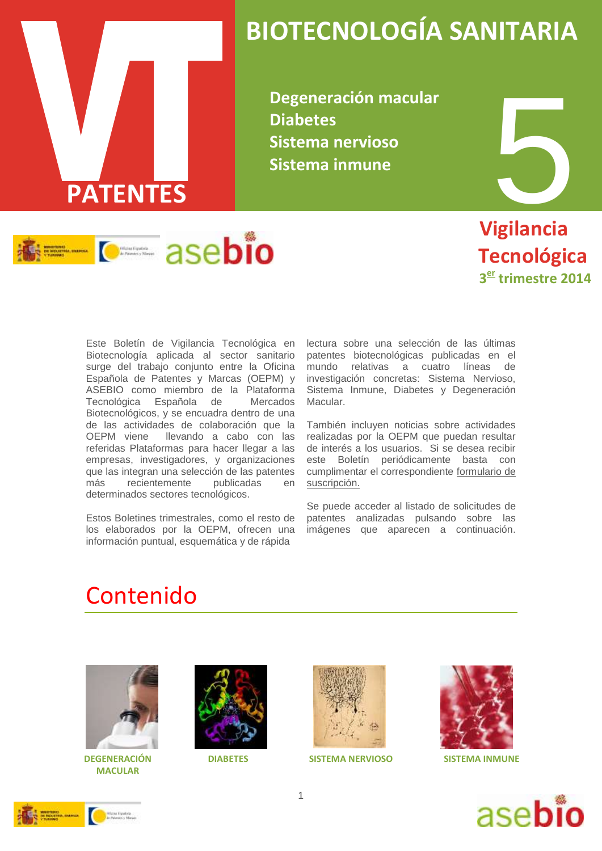

# **BIOTECNOLOGÍA SANITARIA**

**Degeneración macular Diabetes Sistema nervioso Sistema inmune**



 **Vigilancia Tecnológica 3 er trimestre 2014**

Este Boletín de Vigilancia Tecnológica en Biotecnología aplicada al sector sanitario surge del trabajo conjunto entre la Oficina Española de Patentes y Marcas (OEPM) y ASEBIO como miembro de la Plataforma Tecnológica Española de Mercados Biotecnológicos, y se encuadra dentro de una de las actividades de colaboración que la OEPM viene llevando a cabo con las referidas Plataformas para hacer llegar a las empresas, investigadores, y organizaciones que las integran una selección de las patentes más recientemente publicadas en determinados sectores tecnológicos.

Estos Boletines trimestrales, como el resto de los elaborados por la OEPM, ofrecen una información puntual, esquemática y de rápida

lectura sobre una selección de las últimas patentes biotecnológicas publicadas en el mundo relativas a cuatro líneas de investigación concretas: Sistema Nervioso, Sistema Inmune, Diabetes y Degeneración Macular.

También incluyen noticias sobre actividades realizadas por la OEPM que puedan resultar de interés a los usuarios. Si se desea recibir este Boletín periódicamente basta con cumplimentar el correspondiente [formulario de](http://www.oepm.es/es/informacion_tecnologica/informacion_gratuita/boletines_de_vigilancia_tecnologica/formulario.html)  [suscripción.](http://www.oepm.es/es/informacion_tecnologica/informacion_gratuita/boletines_de_vigilancia_tecnologica/formulario.html)

Se puede acceder al listado de solicitudes de patentes analizadas pulsando sobre las imágenes que aparecen a continuación.

### Contenido



 **DEGENERACIÓN DIABETES MACULAR**





**SISTEMA NERVIOSO SISTEMA INMUNE**





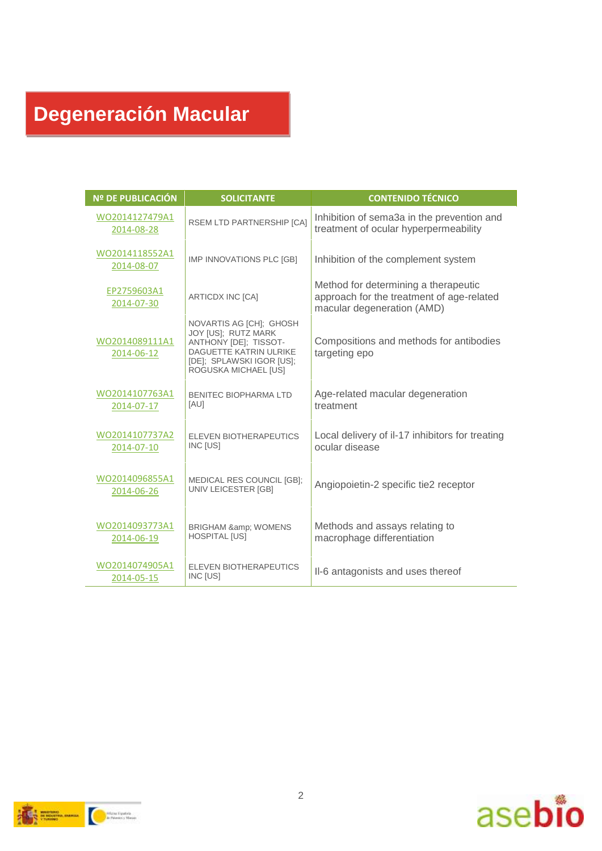# **Degeneración Macular**

| <b>Nº DE PUBLICACIÓN</b>     | <b>SOLICITANTE</b>                                                                                                                                     | <b>CONTENIDO TÉCNICO</b>                                                                                        |
|------------------------------|--------------------------------------------------------------------------------------------------------------------------------------------------------|-----------------------------------------------------------------------------------------------------------------|
| WO2014127479A1<br>2014-08-28 | RSEM LTD PARTNERSHIP [CA]                                                                                                                              | Inhibition of sema3a in the prevention and<br>treatment of ocular hyperpermeability                             |
| WO2014118552A1<br>2014-08-07 | IMP INNOVATIONS PLC [GB]                                                                                                                               | Inhibition of the complement system                                                                             |
| EP2759603A1<br>2014-07-30    | ARTICDX INC [CA]                                                                                                                                       | Method for determining a therapeutic<br>approach for the treatment of age-related<br>macular degeneration (AMD) |
| WO2014089111A1<br>2014-06-12 | NOVARTIS AG [CH]; GHOSH<br>JOY [US]; RUTZ MARK<br>ANTHONY [DE]; TISSOT-<br>DAGUETTE KATRIN ULRIKE<br>[DE]: SPLAWSKI IGOR [US]:<br>ROGUSKA MICHAEL [US] | Compositions and methods for antibodies<br>targeting epo                                                        |
| WO2014107763A1<br>2014-07-17 | BENITEC BIOPHARMA I TD<br>[AU]                                                                                                                         | Age-related macular degeneration<br>treatment                                                                   |
| WO2014107737A2<br>2014-07-10 | ELEVEN BIOTHERAPEUTICS<br><b>INC [US]</b>                                                                                                              | Local delivery of il-17 inhibitors for treating<br>ocular disease                                               |
| WO2014096855A1<br>2014-06-26 | <b>MEDICAL RES COUNCIL [GB]:</b><br>UNIV LEICESTER [GB]                                                                                                | Angiopoietin-2 specific tie2 receptor                                                                           |
| WO2014093773A1<br>2014-06-19 | <b>BRIGHAM &amp; WOMENS</b><br><b>HOSPITAL [US]</b>                                                                                                    | Methods and assays relating to<br>macrophage differentiation                                                    |
| WO2014074905A1<br>2014-05-15 | ELEVEN BIOTHERAPEUTICS<br>INC [US]                                                                                                                     | II-6 antagonists and uses thereof                                                                               |



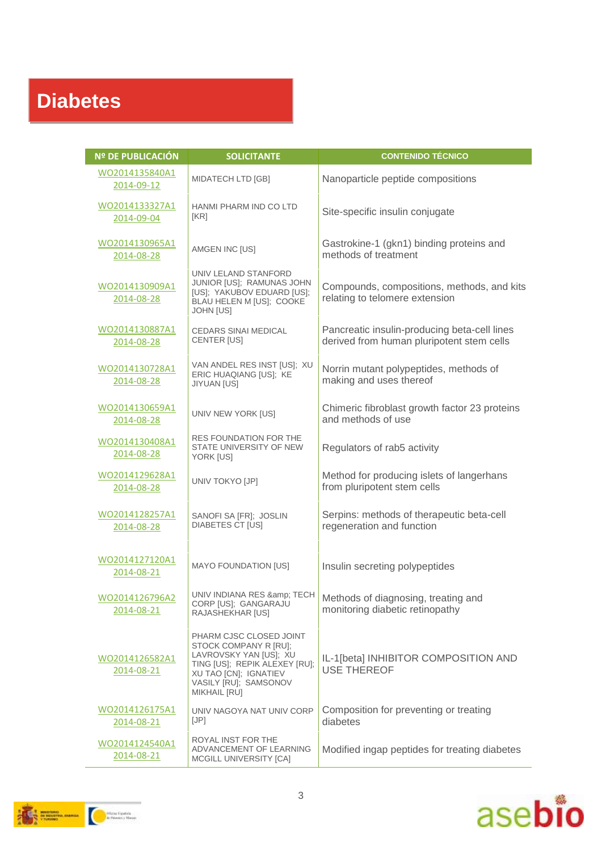## **Diabetes**

| <b>Nº DE PUBLICACIÓN</b>            | <b>SOLICITANTE</b>                                                                                                                                                                   | <b>CONTENIDO TÉCNICO</b>                                                                  |
|-------------------------------------|--------------------------------------------------------------------------------------------------------------------------------------------------------------------------------------|-------------------------------------------------------------------------------------------|
| WO2014135840A1<br>2014-09-12        | MIDATECH LTD [GB]                                                                                                                                                                    | Nanoparticle peptide compositions                                                         |
| WO2014133327A1<br>2014-09-04        | HANMI PHARM IND CO LTD<br>[KR]                                                                                                                                                       | Site-specific insulin conjugate                                                           |
| WO2014130965A1<br>2014-08-28        | AMGEN INC [US]                                                                                                                                                                       | Gastrokine-1 (gkn1) binding proteins and<br>methods of treatment                          |
| WO2014130909A1<br>2014-08-28        | UNIV LELAND STANFORD<br>JUNIOR [US]; RAMUNAS JOHN<br>[US]; YAKUBOV EDUARD [US];<br>BLAU HELEN M [US]; COOKE<br><b>JOHN [US]</b>                                                      | Compounds, compositions, methods, and kits<br>relating to telomere extension              |
| WO2014130887A1<br>2014-08-28        | <b>CEDARS SINAI MEDICAL</b><br>CENTER [US]                                                                                                                                           | Pancreatic insulin-producing beta-cell lines<br>derived from human pluripotent stem cells |
| WO2014130728A1<br>2014-08-28        | VAN ANDEL RES INST [US]: XU<br>ERIC HUAQIANG [US]; KE<br><b>JIYUAN [US]</b>                                                                                                          | Norrin mutant polypeptides, methods of<br>making and uses thereof                         |
| WO2014130659A1<br>2014-08-28        | UNIV NEW YORK [US]                                                                                                                                                                   | Chimeric fibroblast growth factor 23 proteins<br>and methods of use                       |
| WO2014130408A1<br>2014-08-28        | RES FOUNDATION FOR THE<br>STATE UNIVERSITY OF NEW<br>YORK [US]                                                                                                                       | Regulators of rab5 activity                                                               |
| WO2014129628A1<br>2014-08-28        | UNIV TOKYO [JP]                                                                                                                                                                      | Method for producing islets of langerhans<br>from pluripotent stem cells                  |
| WO2014128257A1<br>2014-08-28        | SANOFI SA [FR]; JOSLIN<br><b>DIABETES CT [US]</b>                                                                                                                                    | Serpins: methods of therapeutic beta-cell<br>regeneration and function                    |
| WO2014127120A1<br>2014-08-21        | <b>MAYO FOUNDATION [US]</b>                                                                                                                                                          | Insulin secreting polypeptides                                                            |
| WO2014126796A2<br>2014-08-21        | UNIV INDIANA RES & amp; TECH<br>CORP [US]; GANGARAJU<br>RAJASHEKHAR [US]                                                                                                             | Methods of diagnosing, treating and<br>monitoring diabetic retinopathy                    |
| WO2014126582A1<br>2014-08-21        | PHARM CJSC CLOSED JOINT<br>STOCK COMPANY R [RU]:<br>LAVROVSKY YAN [US]; XU<br>TING [US]; REPIK ALEXEY [RU];<br>XU TAO [CN]; IGNATIEV<br>VASILY [RU]; SAMSONOV<br><b>MIKHAIL [RU]</b> | IL-1[beta] INHIBITOR COMPOSITION AND<br><b>USE THEREOF</b>                                |
| WO2014126175A1<br>2014-08-21        | UNIV NAGOYA NAT UNIV CORP<br>[JP]                                                                                                                                                    | Composition for preventing or treating<br>diabetes                                        |
| <u>WO2014124540A1</u><br>2014-08-21 | ROYAL INST FOR THE<br>ADVANCEMENT OF LEARNING<br>MCGILL UNIVERSITY [CA]                                                                                                              | Modified ingap peptides for treating diabetes                                             |



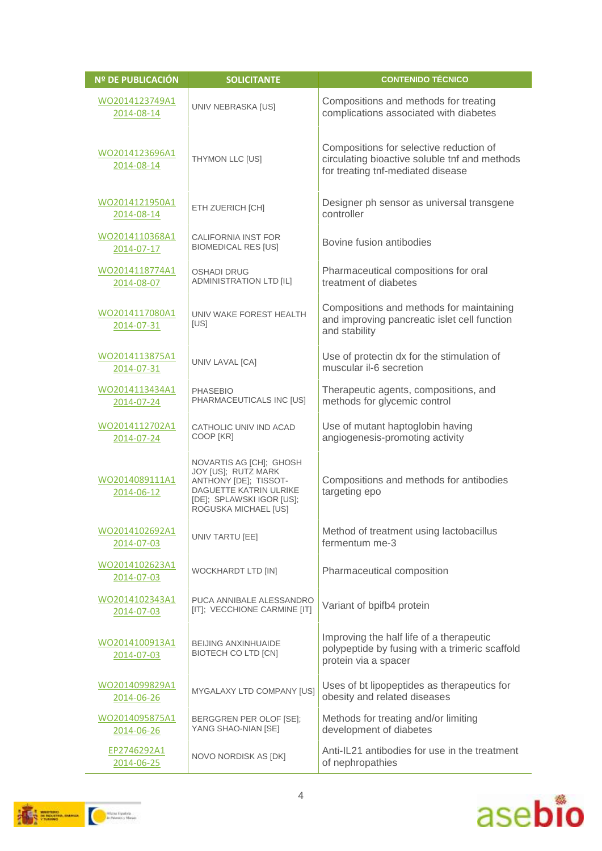| <b>Nº DE PUBLICACIÓN</b>     | <b>SOLICITANTE</b>                                                                                                                                     | <b>CONTENIDO TÉCNICO</b>                                                                                                      |
|------------------------------|--------------------------------------------------------------------------------------------------------------------------------------------------------|-------------------------------------------------------------------------------------------------------------------------------|
| WO2014123749A1<br>2014-08-14 | UNIV NEBRASKA [US]                                                                                                                                     | Compositions and methods for treating<br>complications associated with diabetes                                               |
| WO2014123696A1<br>2014-08-14 | THYMON LLC [US]                                                                                                                                        | Compositions for selective reduction of<br>circulating bioactive soluble tnf and methods<br>for treating tnf-mediated disease |
| WO2014121950A1<br>2014-08-14 | ETH ZUERICH [CH]                                                                                                                                       | Designer ph sensor as universal transgene<br>controller                                                                       |
| WO2014110368A1<br>2014-07-17 | CALIFORNIA INST FOR<br><b>BIOMEDICAL RES [US]</b>                                                                                                      | Bovine fusion antibodies                                                                                                      |
| WO2014118774A1<br>2014-08-07 | <b>OSHADI DRUG</b><br><b>ADMINISTRATION LTD [IL]</b>                                                                                                   | Pharmaceutical compositions for oral<br>treatment of diabetes                                                                 |
| WO2014117080A1<br>2014-07-31 | UNIV WAKE FOREST HEALTH<br>[US]                                                                                                                        | Compositions and methods for maintaining<br>and improving pancreatic islet cell function<br>and stability                     |
| WO2014113875A1<br>2014-07-31 | UNIV LAVAL [CA]                                                                                                                                        | Use of protectin dx for the stimulation of<br>muscular il-6 secretion                                                         |
| WO2014113434A1<br>2014-07-24 | <b>PHASEBIO</b><br>PHARMACEUTICALS INC [US]                                                                                                            | Therapeutic agents, compositions, and<br>methods for glycemic control                                                         |
| WO2014112702A1<br>2014-07-24 | CATHOLIC UNIV IND ACAD<br>COOP [KR]                                                                                                                    | Use of mutant haptoglobin having<br>angiogenesis-promoting activity                                                           |
| WO2014089111A1<br>2014-06-12 | NOVARTIS AG [CH]; GHOSH<br>JOY [US]; RUTZ MARK<br>ANTHONY [DE]; TISSOT-<br>DAGUETTE KATRIN ULRIKE<br>[DE]; SPLAWSKI IGOR [US];<br>ROGUSKA MICHAEL [US] | Compositions and methods for antibodies<br>targeting epo                                                                      |
| WO2014102692A1<br>2014-07-03 | UNIV TARTU [EE]                                                                                                                                        | Method of treatment using lactobacillus<br>fermentum me-3                                                                     |
| WO2014102623A1<br>2014-07-03 | <b>WOCKHARDT LTD [IN]</b>                                                                                                                              | Pharmaceutical composition                                                                                                    |
| WO2014102343A1<br>2014-07-03 | PUCA ANNIBALE ALESSANDRO<br>[IT]; VECCHIONE CARMINE [IT]                                                                                               | Variant of bpifb4 protein                                                                                                     |
| WO2014100913A1<br>2014-07-03 | <b>BEIJING ANXINHUAIDE</b><br>BIOTECH CO LTD [CN]                                                                                                      | Improving the half life of a therapeutic<br>polypeptide by fusing with a trimeric scaffold<br>protein via a spacer            |
| WO2014099829A1<br>2014-06-26 | MYGALAXY LTD COMPANY [US]                                                                                                                              | Uses of bt lipopeptides as therapeutics for<br>obesity and related diseases                                                   |
| WO2014095875A1<br>2014-06-26 | BERGGREN PER OLOF [SE];<br>YANG SHAO-NIAN [SE]                                                                                                         | Methods for treating and/or limiting<br>development of diabetes                                                               |
| EP2746292A1<br>2014-06-25    | NOVO NORDISK AS [DK]                                                                                                                                   | Anti-IL21 antibodies for use in the treatment<br>of nephropathies                                                             |



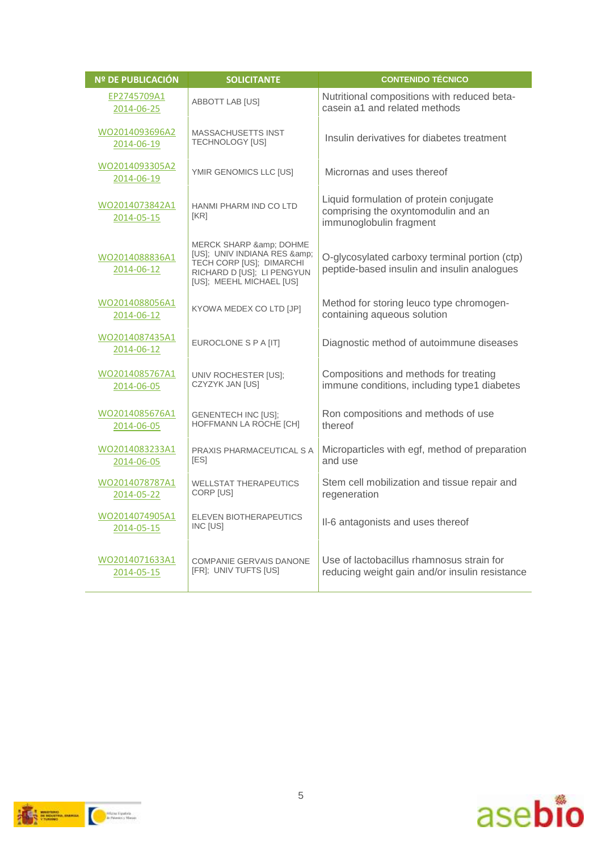| <b>Nº DE PUBLICACIÓN</b>     | <b>SOLICITANTE</b>                                                                                                                         | <b>CONTENIDO TÉCNICO</b>                                                                                  |
|------------------------------|--------------------------------------------------------------------------------------------------------------------------------------------|-----------------------------------------------------------------------------------------------------------|
| EP2745709A1<br>2014-06-25    | ABBOTT LAB [US]                                                                                                                            | Nutritional compositions with reduced beta-<br>casein a1 and related methods                              |
| WO2014093696A2<br>2014-06-19 | <b>MASSACHUSETTS INST</b><br><b>TECHNOLOGY [US]</b>                                                                                        | Insulin derivatives for diabetes treatment                                                                |
| WO2014093305A2<br>2014-06-19 | YMIR GENOMICS LLC [US]                                                                                                                     | Micrornas and uses thereof                                                                                |
| WO2014073842A1<br>2014-05-15 | HANMI PHARM IND CO LTD<br><b>IKRI</b>                                                                                                      | Liquid formulation of protein conjugate<br>comprising the oxyntomodulin and an<br>immunoglobulin fragment |
| WO2014088836A1<br>2014-06-12 | MERCK SHARP & amp; DOHME<br>[US]; UNIV INDIANA RES &<br>TECH CORP [US]; DIMARCHI<br>RICHARD D [US]; LI PENGYUN<br>[US]; MEEHL MICHAEL [US] | O-glycosylated carboxy terminal portion (ctp)<br>peptide-based insulin and insulin analogues              |
| WO2014088056A1<br>2014-06-12 | KYOWA MEDEX CO LTD [JP]                                                                                                                    | Method for storing leuco type chromogen-<br>containing aqueous solution                                   |
| WO2014087435A1<br>2014-06-12 | EUROCLONE S P A [IT]                                                                                                                       | Diagnostic method of autoimmune diseases                                                                  |
| WO2014085767A1<br>2014-06-05 | UNIV ROCHESTER [US]:<br>CZYZYK JAN [US]                                                                                                    | Compositions and methods for treating<br>immune conditions, including type1 diabetes                      |
| WO2014085676A1<br>2014-06-05 | <b>GENENTECH INC [US]:</b><br>HOFFMANN LA ROCHE [CH]                                                                                       | Ron compositions and methods of use<br>thereof                                                            |
| WO2014083233A1<br>2014-06-05 | PRAXIS PHARMACEUTICAL S A<br>[ES]                                                                                                          | Microparticles with egf, method of preparation<br>and use                                                 |
| WO2014078787A1<br>2014-05-22 | <b>WELLSTAT THERAPEUTICS</b><br>CORP [US]                                                                                                  | Stem cell mobilization and tissue repair and<br>regeneration                                              |
| WO2014074905A1<br>2014-05-15 | ELEVEN BIOTHERAPEUTICS<br>INC [US]                                                                                                         | II-6 antagonists and uses thereof                                                                         |
| WO2014071633A1<br>2014-05-15 | COMPANIE GERVAIS DANONE<br>[FR]; UNIV TUFTS [US]                                                                                           | Use of lactobacillus rhamnosus strain for<br>reducing weight gain and/or insulin resistance               |



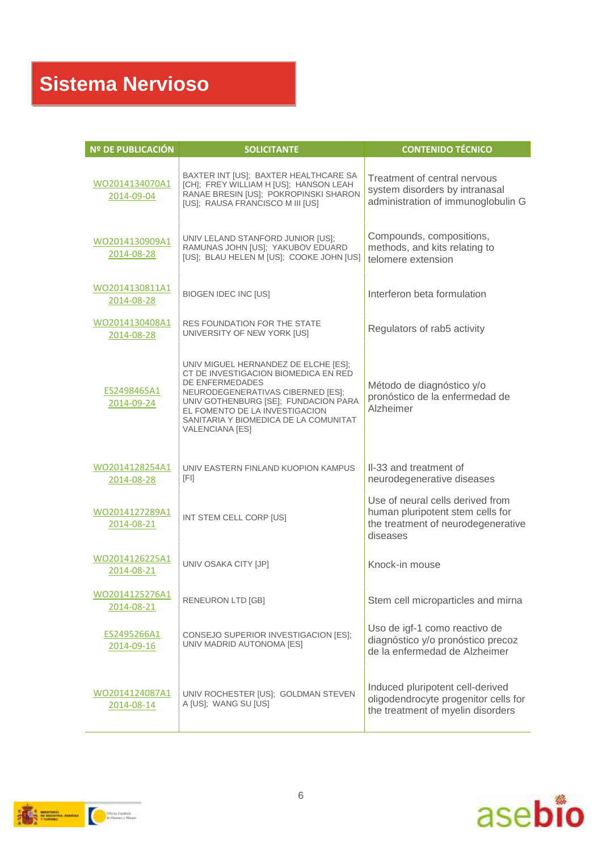| Nº DE PUBLICACIÓN            | <b>SOLICITANTE</b>                                                                                                                                                                                                                                                         | <b>CONTENIDO TÉCNICO</b>                                                                                               |
|------------------------------|----------------------------------------------------------------------------------------------------------------------------------------------------------------------------------------------------------------------------------------------------------------------------|------------------------------------------------------------------------------------------------------------------------|
| WO2014134070A1<br>2014-09-04 | BAXTER INT [US]; BAXTER HEALTHCARE SA<br>[CH]; FREY WILLIAM H [US]; HANSON LEAH<br>RANAE BRESIN [US]; POKROPINSKI SHARON<br>[US]; RAUSA FRANCISCO M III [US]                                                                                                               | Treatment of central nervous<br>system disorders by intranasal<br>administration of immunoglobulin G                   |
| WO2014130909A1<br>2014-08-28 | UNIV LELAND STANFORD JUNIOR [US];<br>RAMUNAS JOHN [US]; YAKUBOV EDUARD<br>[US]; BLAU HELEN M [US]; COOKE JOHN [US]                                                                                                                                                         | Compounds, compositions,<br>methods, and kits relating to<br>telomere extension                                        |
| WO2014130811A1<br>2014-08-28 | <b>BIOGEN IDEC INC [US]</b>                                                                                                                                                                                                                                                | Interferon beta formulation                                                                                            |
| WO2014130408A1<br>2014-08-28 | <b>RES FOUNDATION FOR THE STATE</b><br>UNIVERSITY OF NEW YORK [US]                                                                                                                                                                                                         | Regulators of rab5 activity                                                                                            |
| ES2498465A1<br>2014-09-24    | UNIV MIGUEL HERNANDEZ DE ELCHE [ES];<br>CT DE INVESTIGACION BIOMEDICA EN RED<br>DE ENFERMEDADES<br>NEURODEGENERATIVAS CIBERNED [ES];<br>UNIV GOTHENBURG [SE]; FUNDACION PARA<br>EL FOMENTO DE LA INVESTIGACION<br>SANITARIA Y BIOMEDICA DE LA COMUNITAT<br>VALENCIANA [ES] | Método de diagnóstico y/o<br>pronóstico de la enfermedad de<br>Alzheimer                                               |
| WO2014128254A1<br>2014-08-28 | UNIV EASTERN FINLAND KUOPION KAMPUS<br>[FI]                                                                                                                                                                                                                                | II-33 and treatment of<br>neurodegenerative diseases                                                                   |
| WO2014127289A1<br>2014-08-21 | INT STEM CELL CORP [US]                                                                                                                                                                                                                                                    | Use of neural cells derived from<br>human pluripotent stem cells for<br>the treatment of neurodegenerative<br>diseases |
| WO2014126225A1<br>2014-08-21 | UNIV OSAKA CITY [JP]                                                                                                                                                                                                                                                       | Knock-in mouse                                                                                                         |
| WO2014125276A1<br>2014-08-21 | RENEURON LTD [GB]                                                                                                                                                                                                                                                          | Stem cell microparticles and mirna                                                                                     |
| ES2495266A1<br>2014-09-16    | CONSEJO SUPERIOR INVESTIGACION [ES];<br>UNIV MADRID AUTONOMA [ES]                                                                                                                                                                                                          | Uso de igf-1 como reactivo de<br>diagnóstico y/o pronóstico precoz<br>de la enfermedad de Alzheimer                    |
| WO2014124087A1<br>2014-08-14 | UNIV ROCHESTER [US]; GOLDMAN STEVEN<br>A [US]; WANG SU [US]                                                                                                                                                                                                                | Induced pluripotent cell-derived<br>oligodendrocyte progenitor cells for<br>the treatment of myelin disorders          |



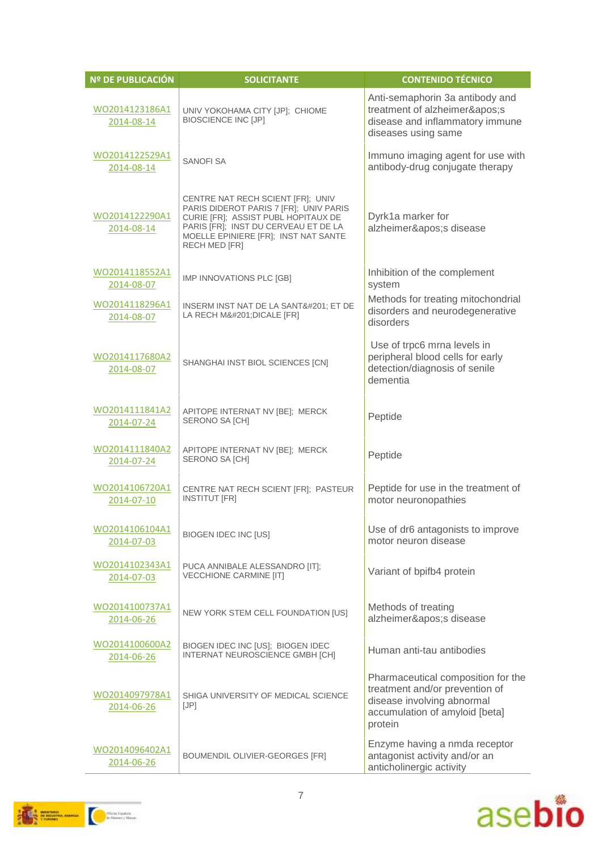| <b>Nº DE PUBLICACIÓN</b>     | <b>SOLICITANTE</b>                                                                                                                                                                                                         | <b>CONTENIDO TÉCNICO</b>                                                                                                                        |
|------------------------------|----------------------------------------------------------------------------------------------------------------------------------------------------------------------------------------------------------------------------|-------------------------------------------------------------------------------------------------------------------------------------------------|
| WO2014123186A1<br>2014-08-14 | UNIV YOKOHAMA CITY [JP]; CHIOME<br><b>BIOSCIENCE INC [JP]</b>                                                                                                                                                              | Anti-semaphorin 3a antibody and<br>treatment of alzheimer's<br>disease and inflammatory immune<br>diseases using same                           |
| WO2014122529A1<br>2014-08-14 | <b>SANOFI SA</b>                                                                                                                                                                                                           | Immuno imaging agent for use with<br>antibody-drug conjugate therapy                                                                            |
| WO2014122290A1<br>2014-08-14 | CENTRE NAT RECH SCIENT [FR]; UNIV<br>PARIS DIDEROT PARIS 7 [FR]; UNIV PARIS<br>CURIE [FR]; ASSIST PUBL HOPITAUX DE<br>PARIS [FR]; INST DU CERVEAU ET DE LA<br>MOELLE EPINIERE [FR]; INST NAT SANTE<br><b>RECH MED [FR]</b> | Dyrk1a marker for<br>alzheimer's disease                                                                                                        |
| WO2014118552A1<br>2014-08-07 | IMP INNOVATIONS PLC [GB]                                                                                                                                                                                                   | Inhibition of the complement<br>system                                                                                                          |
| WO2014118296A1<br>2014-08-07 | INSERM INST NAT DE LA SANTÉ ET DE<br>LA RECH MÉ DICALE [FR]                                                                                                                                                                | Methods for treating mitochondrial<br>disorders and neurodegenerative<br>disorders                                                              |
| WO2014117680A2<br>2014-08-07 | SHANGHAI INST BIOL SCIENCES [CN]                                                                                                                                                                                           | Use of trpc6 mrna levels in<br>peripheral blood cells for early<br>detection/diagnosis of senile<br>dementia                                    |
| WO2014111841A2<br>2014-07-24 | APITOPE INTERNAT NV [BE]; MERCK<br>SERONO SA [CH]                                                                                                                                                                          | Peptide                                                                                                                                         |
| WO2014111840A2<br>2014-07-24 | APITOPE INTERNAT NV [BE]; MERCK<br>SERONO SA [CH]                                                                                                                                                                          | Peptide                                                                                                                                         |
| WO2014106720A1<br>2014-07-10 | CENTRE NAT RECH SCIENT [FR]; PASTEUR<br><b>INSTITUT [FR]</b>                                                                                                                                                               | Peptide for use in the treatment of<br>motor neuronopathies                                                                                     |
| WO2014106104A1<br>2014-07-03 | <b>BIOGEN IDEC INC [US]</b>                                                                                                                                                                                                | Use of dr6 antagonists to improve<br>motor neuron disease                                                                                       |
| WO2014102343A1<br>2014-07-03 | PUCA ANNIBALE ALESSANDRO [IT];<br><b>VECCHIONE CARMINE [IT]</b>                                                                                                                                                            | Variant of bpifb4 protein                                                                                                                       |
| WO2014100737A1<br>2014-06-26 | NEW YORK STEM CELL FOUNDATION [US]                                                                                                                                                                                         | Methods of treating<br>alzheimer's disease                                                                                                      |
| WO2014100600A2<br>2014-06-26 | BIOGEN IDEC INC [US]; BIOGEN IDEC<br>INTERNAT NEUROSCIENCE GMBH [CH]                                                                                                                                                       | Human anti-tau antibodies                                                                                                                       |
| WO2014097978A1<br>2014-06-26 | SHIGA UNIVERSITY OF MEDICAL SCIENCE<br>[JP]                                                                                                                                                                                | Pharmaceutical composition for the<br>treatment and/or prevention of<br>disease involving abnormal<br>accumulation of amyloid [beta]<br>protein |
| WO2014096402A1<br>2014-06-26 | BOUMENDIL OLIVIER-GEORGES [FR]                                                                                                                                                                                             | Enzyme having a nmda receptor<br>antagonist activity and/or an<br>anticholinergic activity                                                      |

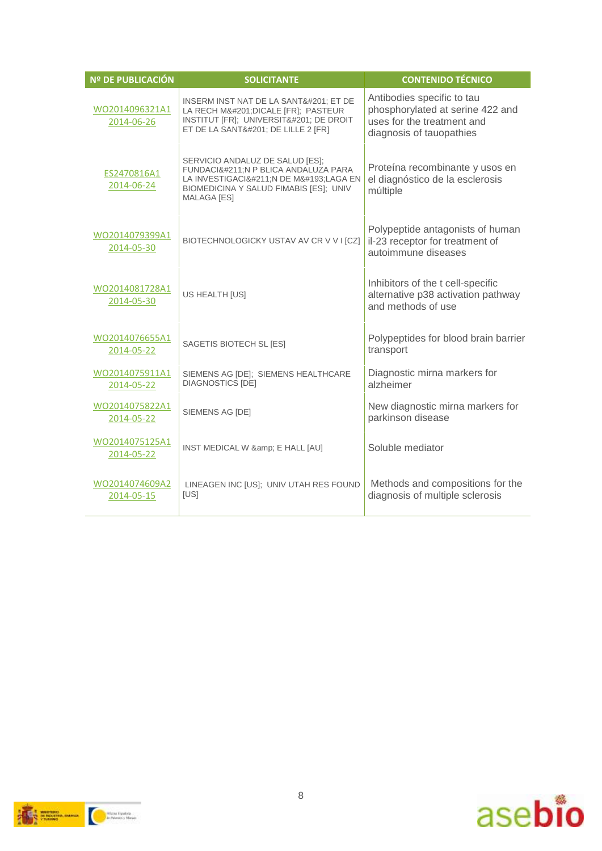| <b>Nº DE PUBLICACIÓN</b>     | <b>SOLICITANTE</b>                                                                                                                                                    | <b>CONTENIDO TÉCNICO</b>                                                                                                 |
|------------------------------|-----------------------------------------------------------------------------------------------------------------------------------------------------------------------|--------------------------------------------------------------------------------------------------------------------------|
| WO2014096321A1<br>2014-06-26 | INSERM INST NAT DE LA SANTÉ ET DE<br>LA RECH MÉ DICALE [FR]; PASTEUR<br>INSTITUT [FR]; UNIVERSITÉ DE DROIT<br>ET DE LA SANTÉ DE LILLE 2 [FR]                          | Antibodies specific to tau<br>phosphorylated at serine 422 and<br>uses for the treatment and<br>diagnosis of tauopathies |
| ES2470816A1<br>2014-06-24    | SERVICIO ANDALUZ DE SALUD [ES];<br>FUNDACIÓN P BLICA ANDALUZA PARA<br>LA INVESTIGACIÓ:N DE MÁ:LAGA EN<br>BIOMEDICINA Y SALUD FIMABIS [ES]; UNIV<br><b>MALAGA [ES]</b> | Proteína recombinante y usos en<br>el diagnóstico de la esclerosis<br>múltiple                                           |
| WO2014079399A1<br>2014-05-30 | BIOTECHNOLOGICKY USTAV AV CR V V I [CZ]                                                                                                                               | Polypeptide antagonists of human<br>il-23 receptor for treatment of<br>autoimmune diseases                               |
| WO2014081728A1<br>2014-05-30 | US HEALTH [US]                                                                                                                                                        | Inhibitors of the t cell-specific<br>alternative p38 activation pathway<br>and methods of use                            |
| WO2014076655A1<br>2014-05-22 | SAGETIS BIOTECH SL [ES]                                                                                                                                               | Polypeptides for blood brain barrier<br>transport                                                                        |
| WO2014075911A1<br>2014-05-22 | SIEMENS AG [DE]; SIEMENS HEALTHCARE<br><b>DIAGNOSTICS [DE]</b>                                                                                                        | Diagnostic mirna markers for<br>alzheimer                                                                                |
| WO2014075822A1<br>2014-05-22 | SIEMENS AG [DE]                                                                                                                                                       | New diagnostic mirna markers for<br>parkinson disease                                                                    |
| WO2014075125A1<br>2014-05-22 | INST MEDICAL W & E HALL [AU]                                                                                                                                          | Soluble mediator                                                                                                         |
| WO2014074609A2<br>2014-05-15 | LINEAGEN INC [US]; UNIV UTAH RES FOUND<br>[US]                                                                                                                        | Methods and compositions for the<br>diagnosis of multiple sclerosis                                                      |



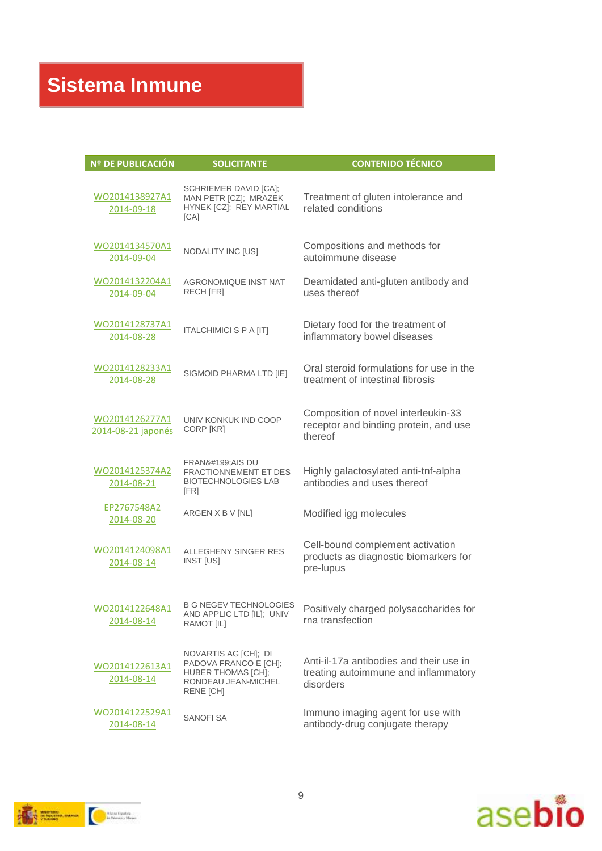| Nº DE PUBLICACIÓN                    | <b>SOLICITANTE</b>                                                                                                    | <b>CONTENIDO TÉCNICO</b>                                                                     |
|--------------------------------------|-----------------------------------------------------------------------------------------------------------------------|----------------------------------------------------------------------------------------------|
| WO2014138927A1<br>2014-09-18         | SCHRIEMER DAVID [CA];<br>MAN PETR [CZ]; MRAZEK<br>HYNEK [CZ]; REY MARTIAL<br>[CA]                                     | Treatment of gluten intolerance and<br>related conditions                                    |
| WO2014134570A1<br>2014-09-04         | NODALITY INC [US]                                                                                                     | Compositions and methods for<br>autoimmune disease                                           |
| WO2014132204A1<br>2014-09-04         | <b>AGRONOMIQUE INST NAT</b><br>RECH [FR]                                                                              | Deamidated anti-gluten antibody and<br>uses thereof                                          |
| WO2014128737A1<br>2014-08-28         | <b>ITALCHIMICI S P A [IT]</b>                                                                                         | Dietary food for the treatment of<br>inflammatory bowel diseases                             |
| WO2014128233A1<br>2014-08-28         | SIGMOID PHARMA LTD [IE]                                                                                               | Oral steroid formulations for use in the<br>treatment of intestinal fibrosis                 |
| WO2014126277A1<br>2014-08-21 japonés | UNIV KONKUK IND COOP<br>CORP [KR]                                                                                     | Composition of novel interleukin-33<br>receptor and binding protein, and use<br>thereof      |
| WO2014125374A2<br>2014-08-21         | <b>FRANÇAIS DU</b><br><b>FRACTIONNEMENT ET DES</b><br><b>BIOTECHNOLOGIES LAB</b><br>[FR]                              | Highly galactosylated anti-tnf-alpha<br>antibodies and uses thereof                          |
| EP2767548A2<br>2014-08-20            | ARGEN X B V [NL]                                                                                                      | Modified igg molecules                                                                       |
| WO2014124098A1<br>2014-08-14         | ALLEGHENY SINGER RES<br>INST [US]                                                                                     | Cell-bound complement activation<br>products as diagnostic biomarkers for<br>pre-lupus       |
| WO2014122648A1<br>2014-08-14         | <b>B G NEGEV TECHNOLOGIES</b><br>AND APPLIC LTD [IL]; UNIV<br>RAMOT [IL]                                              | Positively charged polysaccharides for<br>rna transfection                                   |
| WO2014122613A1<br>2014-08-14         | NOVARTIS AG [CH]; DI<br>PADOVA FRANCO E [CH];<br><b>HUBER THOMAS [CH];</b><br>RONDEAU JEAN-MICHEL<br><b>RENE [CH]</b> | Anti-il-17a antibodies and their use in<br>treating autoimmune and inflammatory<br>disorders |
| WO2014122529A1<br>2014-08-14         | <b>SANOFI SA</b>                                                                                                      | Immuno imaging agent for use with<br>antibody-drug conjugate therapy                         |



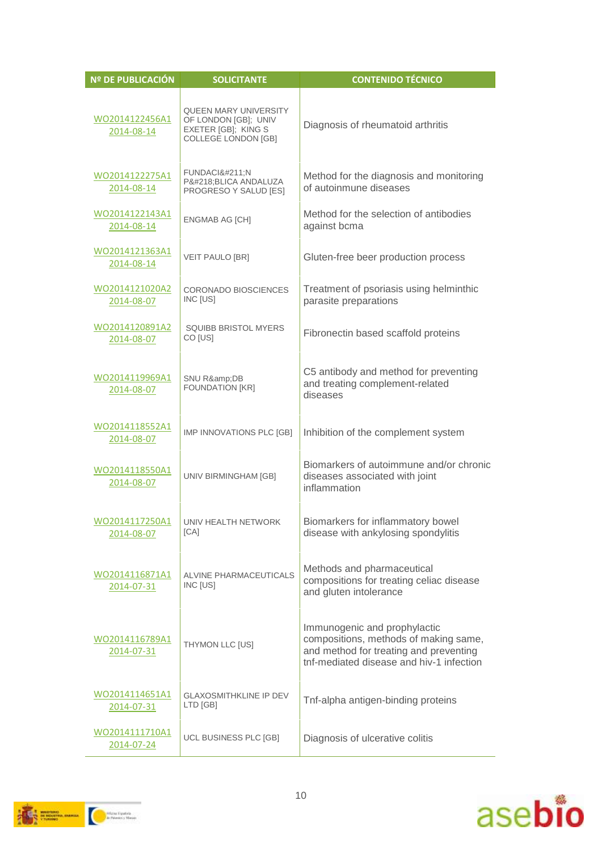| Nº DE PUBLICACIÓN            | <b>SOLICITANTE</b>                                                                                        | <b>CONTENIDO TÉCNICO</b>                                                                                                                                    |
|------------------------------|-----------------------------------------------------------------------------------------------------------|-------------------------------------------------------------------------------------------------------------------------------------------------------------|
| WO2014122456A1<br>2014-08-14 | <b>QUEEN MARY UNIVERSITY</b><br>OF LONDON [GB]; UNIV<br>EXETER [GB]; KING S<br><b>COLLEGE LONDON [GB]</b> | Diagnosis of rheumatoid arthritis                                                                                                                           |
| WO2014122275A1<br>2014-08-14 | <b>FUNDACIÓN</b><br>PÚBLICA ANDALUZA<br>PROGRESO Y SALUD [ES]                                             | Method for the diagnosis and monitoring<br>of autoinmune diseases                                                                                           |
| WO2014122143A1<br>2014-08-14 | ENGMAB AG [CH]                                                                                            | Method for the selection of antibodies<br>against bcma                                                                                                      |
| WO2014121363A1<br>2014-08-14 | <b>VEIT PAULO [BR]</b>                                                                                    | Gluten-free beer production process                                                                                                                         |
| WO2014121020A2<br>2014-08-07 | <b>CORONADO BIOSCIENCES</b><br>INC [US]                                                                   | Treatment of psoriasis using helminthic<br>parasite preparations                                                                                            |
| WO2014120891A2<br>2014-08-07 | <b>SQUIBB BRISTOL MYERS</b><br>CO [US]                                                                    | Fibronectin based scaffold proteins                                                                                                                         |
| WO2014119969A1<br>2014-08-07 | SNU R&DB<br><b>FOUNDATION [KR]</b>                                                                        | C5 antibody and method for preventing<br>and treating complement-related<br>diseases                                                                        |
| WO2014118552A1<br>2014-08-07 | IMP INNOVATIONS PLC [GB]                                                                                  | Inhibition of the complement system                                                                                                                         |
| WO2014118550A1<br>2014-08-07 | UNIV BIRMINGHAM [GB]                                                                                      | Biomarkers of autoimmune and/or chronic<br>diseases associated with joint<br>inflammation                                                                   |
| 2014-08-07                   | WO2014117250A1 UNIV HEALTH NETWORK<br>[CA]                                                                | Biomarkers for inflammatory bowel<br>disease with ankylosing spondylitis                                                                                    |
| WO2014116871A1<br>2014-07-31 | ALVINE PHARMACEUTICALS<br>INC [US]                                                                        | Methods and pharmaceutical<br>compositions for treating celiac disease<br>and gluten intolerance                                                            |
| WO2014116789A1<br>2014-07-31 | THYMON LLC [US]                                                                                           | Immunogenic and prophylactic<br>compositions, methods of making same,<br>and method for treating and preventing<br>tnf-mediated disease and hiv-1 infection |
| WO2014114651A1<br>2014-07-31 | <b>GLAXOSMITHKLINE IP DEV</b><br>LTD [GB]                                                                 | Tnf-alpha antigen-binding proteins                                                                                                                          |
| WO2014111710A1<br>2014-07-24 | UCL BUSINESS PLC [GB]                                                                                     | Diagnosis of ulcerative colitis                                                                                                                             |



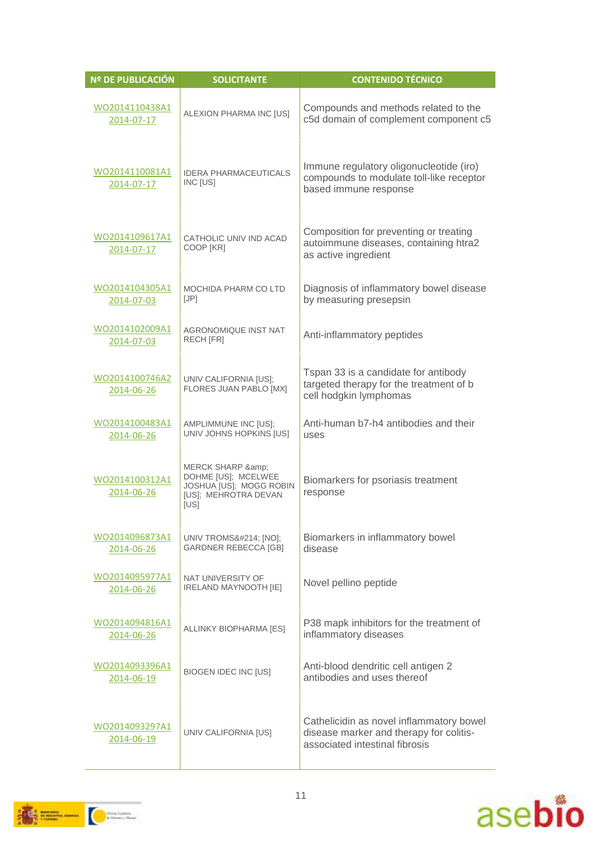| Nº DE PUBLICACIÓN            | <b>SOLICITANTE</b>                                                                                     | <b>CONTENIDO TÉCNICO</b>                                                                                              |
|------------------------------|--------------------------------------------------------------------------------------------------------|-----------------------------------------------------------------------------------------------------------------------|
| WO2014110438A1<br>2014-07-17 | ALEXION PHARMA INC [US]                                                                                | Compounds and methods related to the<br>c5d domain of complement component c5                                         |
| WO2014110081A1<br>2014-07-17 | <b>IDERA PHARMACEUTICALS</b><br>INC [US]                                                               | Immune regulatory oligonucleotide (iro)<br>compounds to modulate toll-like receptor<br>based immune response          |
| WO2014109617A1<br>2014-07-17 | CATHOLIC UNIV IND ACAD<br>COOP [KR]                                                                    | Composition for preventing or treating<br>autoimmune diseases, containing htra2<br>as active ingredient               |
| WO2014104305A1<br>2014-07-03 | MOCHIDA PHARM CO LTD<br>[JP]                                                                           | Diagnosis of inflammatory bowel disease<br>by measuring presepsin                                                     |
| WO2014102009A1<br>2014-07-03 | AGRONOMIQUE INST NAT<br><b>RECH [FR]</b>                                                               | Anti-inflammatory peptides                                                                                            |
| WO2014100746A2<br>2014-06-26 | UNIV CALIFORNIA [US];<br>FLORES JUAN PABLO [MX]                                                        | Tspan 33 is a candidate for antibody<br>targeted therapy for the treatment of b<br>cell hodgkin lymphomas             |
| WO2014100483A1<br>2014-06-26 | AMPLIMMUNE INC [US];<br>UNIV JOHNS HOPKINS [US]                                                        | Anti-human b7-h4 antibodies and their<br>uses                                                                         |
| WO2014100312A1<br>2014-06-26 | MERCK SHARP &<br>DOHME [US]; MCELWEE<br>JOSHUA [US]; MOGG ROBIN<br><b>IUSI: MEHROTRA DEVAN</b><br>[US] | Biomarkers for psoriasis treatment<br>response                                                                        |
| WO2014096873A1<br>2014-06-26 | UNIV TROMSÖ [NO];<br><b>GARDNER REBECCA [GB]</b>                                                       | Biomarkers in inflammatory bowel<br>disease                                                                           |
| WO2014095977A1<br>2014-06-26 | NAT UNIVERSITY OF<br>IRELAND MAYNOOTH [IE]                                                             | Novel pellino peptide                                                                                                 |
| WO2014094816A1<br>2014-06-26 | ALLINKY BIOPHARMA [ES]                                                                                 | P38 mapk inhibitors for the treatment of<br>inflammatory diseases                                                     |
| WO2014093396A1<br>2014-06-19 | <b>BIOGEN IDEC INC [US]</b>                                                                            | Anti-blood dendritic cell antigen 2<br>antibodies and uses thereof                                                    |
| WO2014093297A1<br>2014-06-19 | UNIV CALIFORNIA [US]                                                                                   | Cathelicidin as novel inflammatory bowel<br>disease marker and therapy for colitis-<br>associated intestinal fibrosis |



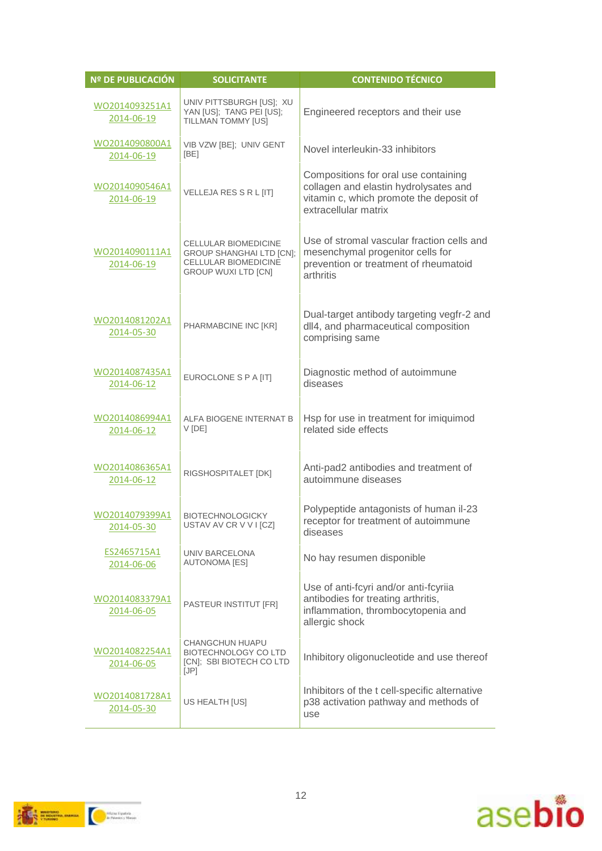| <b>Nº DE PUBLICACIÓN</b>     | <b>SOLICITANTE</b>                                                                                                          | <b>CONTENIDO TÉCNICO</b>                                                                                                                         |
|------------------------------|-----------------------------------------------------------------------------------------------------------------------------|--------------------------------------------------------------------------------------------------------------------------------------------------|
| WO2014093251A1<br>2014-06-19 | UNIV PITTSBURGH [US]; XU<br>YAN [US]; TANG PEI [US];<br>TILLMAN TOMMY [US]                                                  | Engineered receptors and their use                                                                                                               |
| WO2014090800A1<br>2014-06-19 | VIB VZW [BE]; UNIV GENT<br>[BE]                                                                                             | Novel interleukin-33 inhibitors                                                                                                                  |
| WO2014090546A1<br>2014-06-19 | VELLEJA RES S R L [IT]                                                                                                      | Compositions for oral use containing<br>collagen and elastin hydrolysates and<br>vitamin c, which promote the deposit of<br>extracellular matrix |
| WO2014090111A1<br>2014-06-19 | <b>CELLULAR BIOMEDICINE</b><br><b>GROUP SHANGHAI LTD [CN];</b><br><b>CELLULAR BIOMEDICINE</b><br><b>GROUP WUXI LTD [CN]</b> | Use of stromal vascular fraction cells and<br>mesenchymal progenitor cells for<br>prevention or treatment of rheumatoid<br>arthritis             |
| WO2014081202A1<br>2014-05-30 | PHARMABCINE INC [KR]                                                                                                        | Dual-target antibody targeting vegfr-2 and<br>dll4, and pharmaceutical composition<br>comprising same                                            |
| WO2014087435A1<br>2014-06-12 | EUROCLONE S P A [IT]                                                                                                        | Diagnostic method of autoimmune<br>diseases                                                                                                      |
| WO2014086994A1<br>2014-06-12 | ALFA BIOGENE INTERNAT B<br>V [DE]                                                                                           | Hsp for use in treatment for imiquimod<br>related side effects                                                                                   |
| WO2014086365A1<br>2014-06-12 | RIGSHOSPITALET [DK]                                                                                                         | Anti-pad2 antibodies and treatment of<br>autoimmune diseases                                                                                     |
| WO2014079399A1<br>2014-05-30 | <b>BIOTECHNOLOGICKY</b><br>USTAV AV CR V V I [CZ]                                                                           | Polypeptide antagonists of human il-23<br>receptor for treatment of autoimmune<br>diseases                                                       |
| ES2465715A1<br>2014-06-06    | UNIV BARCELONA<br><b>AUTONOMA [ES]</b>                                                                                      | No hay resumen disponible                                                                                                                        |
| WO2014083379A1<br>2014-06-05 | PASTEUR INSTITUT [FR]                                                                                                       | Use of anti-fcyri and/or anti-fcyriia<br>antibodies for treating arthritis,<br>inflammation, thrombocytopenia and<br>allergic shock              |
| WO2014082254A1<br>2014-06-05 | <b>CHANGCHUN HUAPU</b><br><b>BIOTECHNOLOGY CO LTD</b><br>[CN]; SBI BIOTECH CO LTD<br>[JP]                                   | Inhibitory oligonucleotide and use thereof                                                                                                       |
| WO2014081728A1<br>2014-05-30 | US HEALTH [US]                                                                                                              | Inhibitors of the t cell-specific alternative<br>p38 activation pathway and methods of<br>use                                                    |

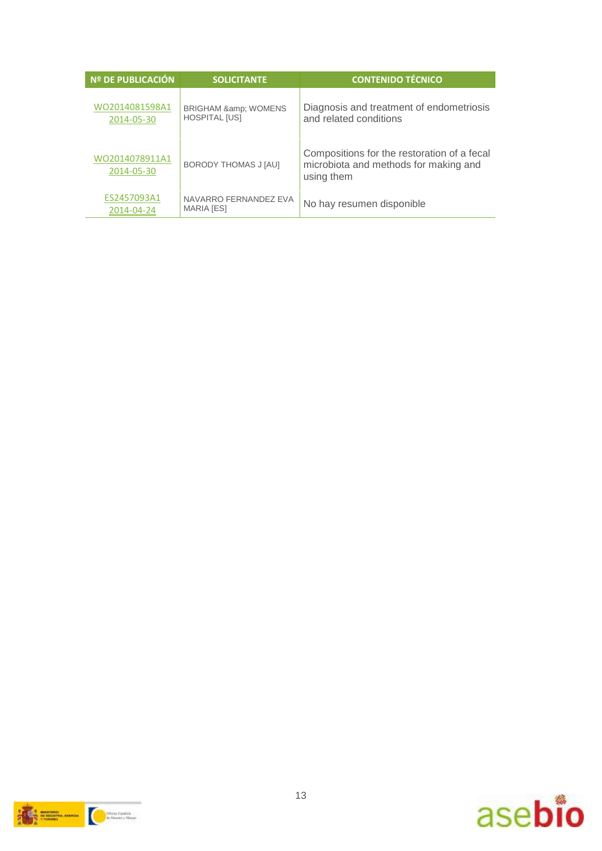| Nº DE PUBLICACIÓN            | <b>SOLICITANTE</b>                                  | <b>CONTENIDO TÉCNICO</b>                                                                           |
|------------------------------|-----------------------------------------------------|----------------------------------------------------------------------------------------------------|
| WO2014081598A1<br>2014-05-30 | <b>BRIGHAM &amp; WOMENS</b><br><b>HOSPITAL [US]</b> | Diagnosis and treatment of endometriosis<br>and related conditions                                 |
| WO2014078911A1<br>2014-05-30 | BORODY THOMAS J [AU]                                | Compositions for the restoration of a fecal<br>microbiota and methods for making and<br>using them |
| ES2457093A1<br>2014-04-24    | NAVARRO FERNANDEZ EVA<br><b>MARIA [ES]</b>          | No hay resumen disponible                                                                          |



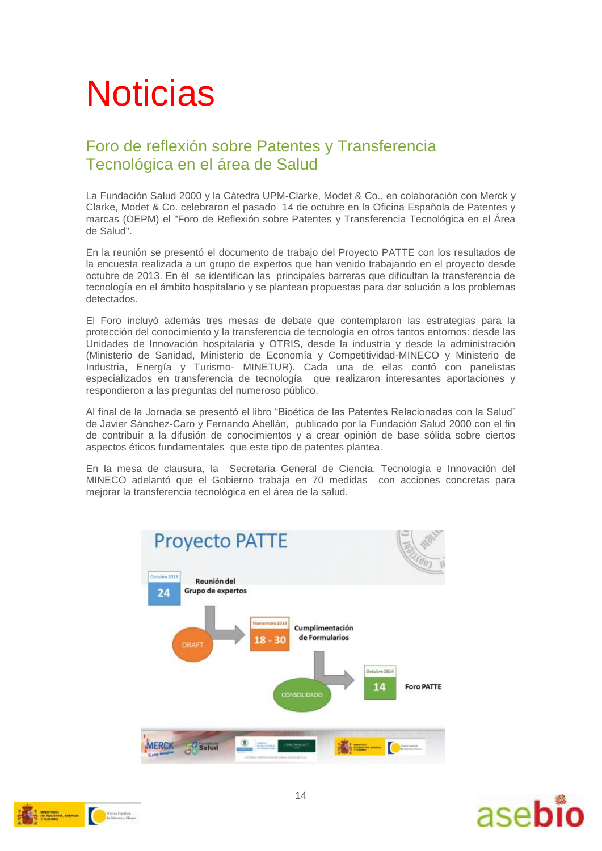# **Noticias**

#### Foro de reflexión sobre Patentes y Transferencia Tecnológica en el área de Salud

La Fundación Salud 2000 y la Cátedra UPM-Clarke, Modet & Co., en colaboración con Merck y Clarke, Modet & Co. celebraron el pasado 14 de octubre en la Oficina Española de Patentes y marcas (OEPM) el "Foro de Reflexión sobre Patentes y Transferencia Tecnológica en el Área de Salud".

En la reunión se presentó el documento de trabajo del Proyecto PATTE con los resultados de la encuesta realizada a un grupo de expertos que han venido trabajando en el proyecto desde octubre de 2013. En él se identifican las principales barreras que dificultan la transferencia de tecnología en el ámbito hospitalario y se plantean propuestas para dar solución a los problemas detectados.

El Foro incluyó además tres mesas de debate que contemplaron las estrategias para la protección del conocimiento y la transferencia de tecnología en otros tantos entornos: desde las Unidades de Innovación hospitalaria y OTRIS, desde la industria y desde la administración (Ministerio de Sanidad, Ministerio de Economía y Competitividad-MINECO y Ministerio de Industria, Energía y Turismo- MINETUR). Cada una de ellas contó con panelistas especializados en transferencia de tecnología que realizaron interesantes aportaciones y respondieron a las preguntas del numeroso público.

Al final de la Jornada se presentó el libro "Bioética de las Patentes Relacionadas con la Salud" de Javier Sánchez-Caro y Fernando Abellán, publicado por la Fundación Salud 2000 con el fin de contribuir a la difusión de conocimientos y a crear opinión de base sólida sobre ciertos aspectos éticos fundamentales que este tipo de patentes plantea.

En la mesa de clausura, la Secretaria General de Ciencia, Tecnología e Innovación del MINECO adelantó que el Gobierno trabaja en 70 medidas con acciones concretas para mejorar la transferencia tecnológica en el área de la salud.





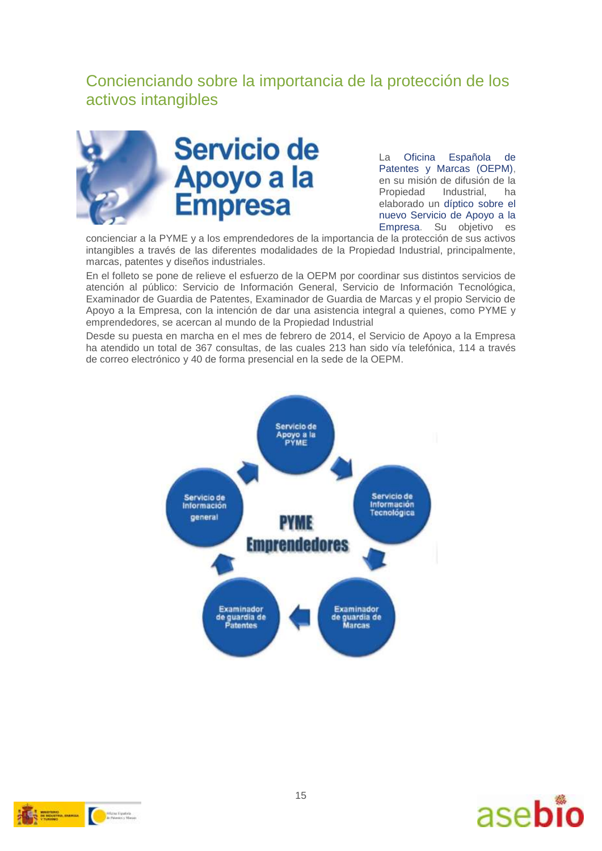#### Concienciando sobre la importancia de la protección de los activos intangibles



La [Oficina Española de](http://www.oepm.es/es/index.html)  [Patentes y Marcas \(OEPM\),](http://www.oepm.es/es/index.html) en su misión de difusión de la Propiedad Industrial, ha elaborado un [díptico sobre el](http://www.oepm.es/export/sites/oepm/comun/documentos_relacionados/Publicaciones/Folletos/ServicioApoyoEmpresa.pdf)  [nuevo Servicio de Apoyo a la](http://www.oepm.es/export/sites/oepm/comun/documentos_relacionados/Publicaciones/Folletos/ServicioApoyoEmpresa.pdf)  [Empresa.](http://www.oepm.es/export/sites/oepm/comun/documentos_relacionados/Publicaciones/Folletos/ServicioApoyoEmpresa.pdf) Su objetivo es

concienciar a la PYME y a los emprendedores de la importancia de la protección de sus activos intangibles a través de las diferentes modalidades de la Propiedad Industrial, principalmente, marcas, patentes y diseños industriales.

En el folleto se pone de relieve el esfuerzo de la OEPM por coordinar sus distintos servicios de atención al público: Servicio de Información General, Servicio de Información Tecnológica, Examinador de Guardia de Patentes, Examinador de Guardia de Marcas y el propio Servicio de Apoyo a la Empresa, con la intención de dar una asistencia integral a quienes, como PYME y emprendedores, se acercan al mundo de la Propiedad Industrial

Desde su puesta en marcha en el mes de febrero de 2014, el Servicio de Apoyo a la Empresa ha atendido un total de 367 consultas, de las cuales 213 han sido vía telefónica, 114 a través de correo electrónico y 40 de forma presencial en la sede de la OEPM.